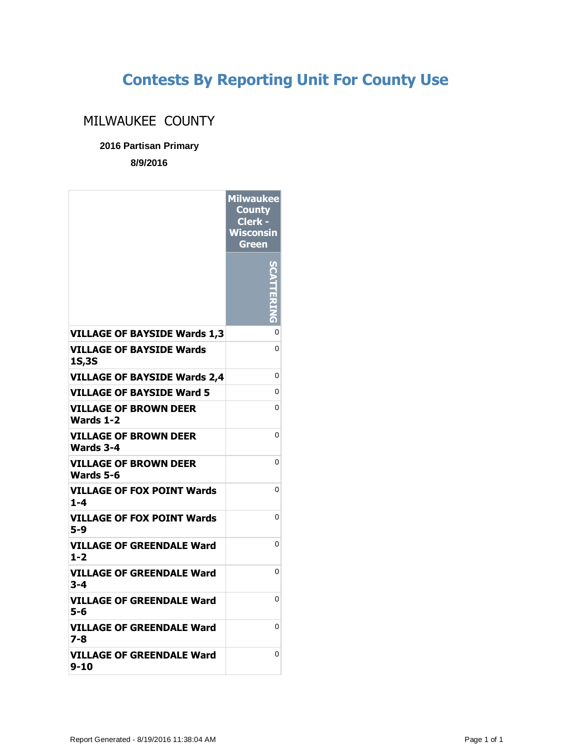## **Contests By Reporting Unit For County Use**

## MILWAUKEE COUNTY

## **2016 Partisan Primary**

**8/9/2016**

|                                                  | <b>Milwaukee</b><br><b>County</b><br>Clerk -<br><b>Wisconsin</b><br>Green |
|--------------------------------------------------|---------------------------------------------------------------------------|
|                                                  |                                                                           |
| <b>VILLAGE OF BAYSIDE Wards 1,3</b>              | 0                                                                         |
| <b>VILLAGE OF BAYSIDE Wards</b><br>1S,3S         | 0                                                                         |
| <b>VILLAGE OF BAYSIDE Wards 2,4</b>              | 0                                                                         |
| VILLAGE OF BAYSIDE Ward 5                        | 0                                                                         |
| <b>VILLAGE OF BROWN DEER</b><br><b>Wards 1-2</b> | 0                                                                         |
| <b>VILLAGE OF BROWN DEER</b><br>Wards 3-4        | 0                                                                         |
| <b>VILLAGE OF BROWN DEER</b><br>Wards 5-6        | 0                                                                         |
| VILLAGE OF FOX POINT Wards<br>$1 - 4$            | 0                                                                         |
| <b>VILLAGE OF FOX POINT Wards</b><br>5-9         | 0                                                                         |
| VILLAGE OF GREENDALE Ward<br>1-2                 | 0                                                                         |
| VILLAGE OF GREENDALE Ward<br>3-4                 | 0                                                                         |
| VILLAGE OF GREENDALE Ward<br>5-6                 | 0                                                                         |
| VILLAGE OF GREENDALE Ward<br>7-8                 | 0                                                                         |
| VILLAGE OF GREENDALE Ward<br>9-10                | 0                                                                         |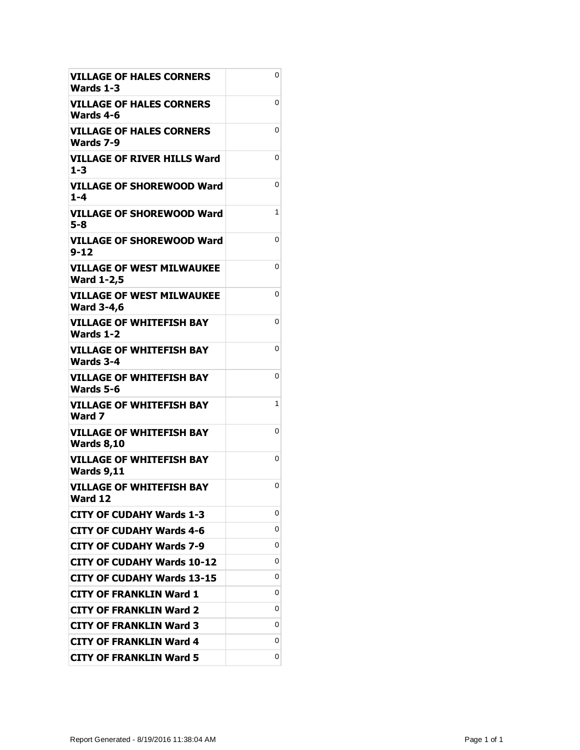| <b>VILLAGE OF HALES CORNERS</b><br>Wards 1-3          | 0 |
|-------------------------------------------------------|---|
| VILLAGE OF HALES CORNERS<br>Wards 4-6                 | 0 |
| VILLAGE OF HALES CORNERS<br>Wards 7-9                 | 0 |
| <b>VILLAGE OF RIVER HILLS Ward</b><br>$1 - 3$         | 0 |
| <b>VILLAGE OF SHOREWOOD Ward</b><br>$1 - 4$           | 0 |
| <b>VILLAGE OF SHOREWOOD Ward</b><br>$5 - 8$           | 1 |
| VILLAGE OF SHOREWOOD Ward<br>$9 - 12$                 | 0 |
| <b>VILLAGE OF WEST MILWAUKEE</b><br><b>Ward 1-2,5</b> | 0 |
| <b>VILLAGE OF WEST MILWAUKEE</b><br><b>Ward 3-4,6</b> | 0 |
| VILLAGE OF WHITEFISH BAY<br><b>Wards 1-2</b>          | 0 |
| <b>VILLAGE OF WHITEFISH BAY</b><br>Wards 3-4          | 0 |
| <b>VILLAGE OF WHITEFISH BAY</b><br>Wards 5-6          | 0 |
| <b>VILLAGE OF WHITEFISH BAY</b><br>Ward 7             | 1 |
| <b>VILLAGE OF WHITEFISH BAY</b><br><b>Wards 8,10</b>  | 0 |
| <b>VILLAGE OF WHITEFISH BAY</b><br><b>Wards 9,11</b>  | 0 |
| <b>VILLAGE OF WHITEFISH BAY</b><br>Ward 12            | 0 |
| <b>CITY OF CUDAHY Wards 1-3</b>                       | 0 |
| CITY OF CUDAHY Wards 4-6                              | 0 |
| CITY OF CUDAHY Wards 7-9                              | 0 |
| <b>CITY OF CUDAHY Wards 10-12</b>                     | 0 |
| <b>CITY OF CUDAHY Wards 13-15</b>                     | 0 |
| <b>CITY OF FRANKLIN Ward 1</b>                        | 0 |
| <b>CITY OF FRANKLIN Ward 2</b>                        | 0 |
| <b>CITY OF FRANKLIN Ward 3</b>                        | 0 |
| <b>CITY OF FRANKLIN Ward 4</b>                        | 0 |
| <b>CITY OF FRANKLIN Ward 5</b>                        | 0 |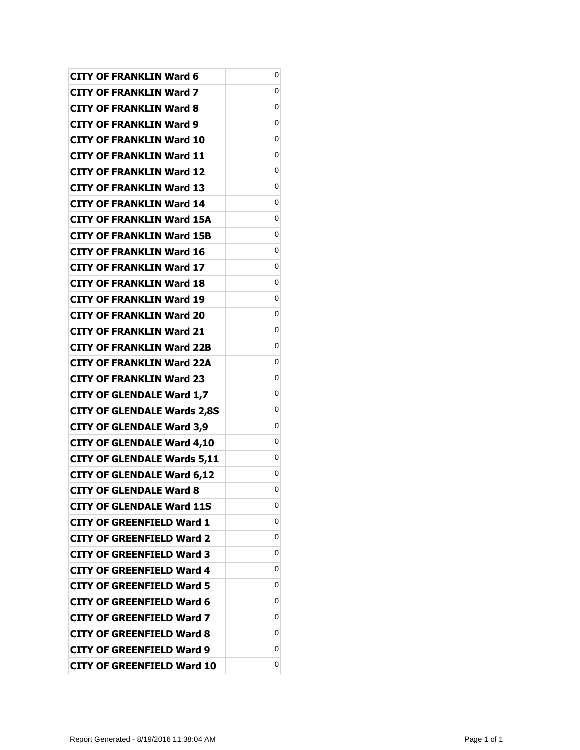| <b>CITY OF FRANKLIN Ward 6</b>     | 0 |
|------------------------------------|---|
| <b>CITY OF FRANKLIN Ward 7</b>     | 0 |
| <b>CITY OF FRANKLIN Ward 8</b>     | 0 |
| <b>CITY OF FRANKLIN Ward 9</b>     | 0 |
| <b>CITY OF FRANKLIN Ward 10</b>    | 0 |
| <b>CITY OF FRANKLIN Ward 11</b>    | 0 |
| <b>CITY OF FRANKLIN Ward 12</b>    | 0 |
| <b>CITY OF FRANKLIN Ward 13</b>    | 0 |
| <b>CITY OF FRANKLIN Ward 14</b>    | 0 |
| <b>CITY OF FRANKLIN Ward 15A</b>   | 0 |
| <b>CITY OF FRANKLIN Ward 15B</b>   | 0 |
| <b>CITY OF FRANKLIN Ward 16</b>    | 0 |
| <b>CITY OF FRANKLIN Ward 17</b>    | 0 |
| <b>CITY OF FRANKLIN Ward 18</b>    | 0 |
| <b>CITY OF FRANKLIN Ward 19</b>    | 0 |
| <b>CITY OF FRANKLIN Ward 20</b>    | 0 |
| <b>CITY OF FRANKLIN Ward 21</b>    | 0 |
| <b>CITY OF FRANKLIN Ward 22B</b>   | 0 |
| <b>CITY OF FRANKLIN Ward 22A</b>   | 0 |
| <b>CITY OF FRANKLIN Ward 23</b>    | 0 |
| <b>CITY OF GLENDALE Ward 1,7</b>   | 0 |
| <b>CITY OF GLENDALE Wards 2,8S</b> | 0 |
| <b>CITY OF GLENDALE Ward 3,9</b>   | 0 |
| <b>CITY OF GLENDALE Ward 4,10</b>  | 0 |
| <b>CITY OF GLENDALE Wards 5,11</b> | 0 |
| <b>CITY OF GLENDALE Ward 6,12</b>  | 0 |
| CITY OF GLENDALE Ward 8            | 0 |
| <b>CITY OF GLENDALE Ward 11S</b>   | 0 |
| <b>CITY OF GREENFIELD Ward 1</b>   | 0 |
| <b>CITY OF GREENFIELD Ward 2</b>   | 0 |
| <b>CITY OF GREENFIELD Ward 3</b>   | 0 |
| CITY OF GREENFIELD Ward 4          | 0 |
| CITY OF GREENFIELD Ward 5          | 0 |
| <b>CITY OF GREENFIELD Ward 6</b>   | 0 |
| CITY OF GREENFIELD Ward 7          | 0 |
| <b>CITY OF GREENFIELD Ward 8</b>   | 0 |
| CITY OF GREENFIELD Ward 9          | 0 |
| <b>CITY OF GREENFIELD Ward 10</b>  | 0 |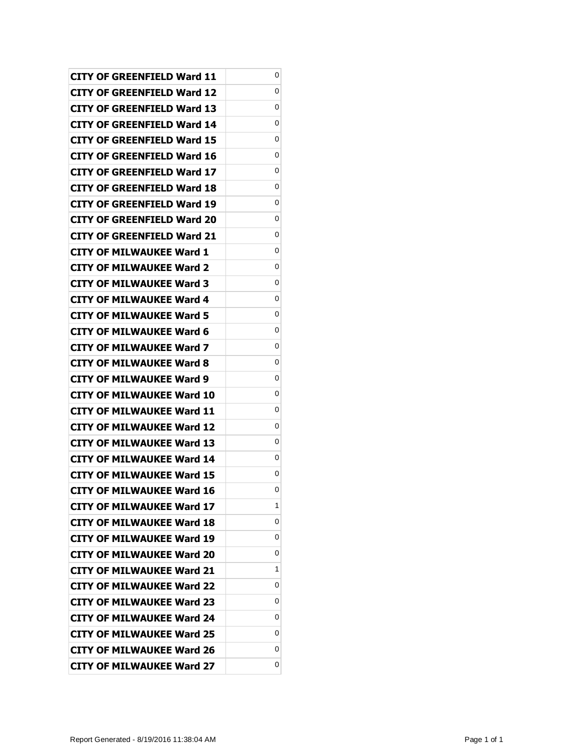| CITY OF GREENFIELD Ward 11        | 0 |
|-----------------------------------|---|
| CITY OF GREENFIELD Ward 12        | 0 |
| CITY OF GREENFIELD Ward 13        | 0 |
| CITY OF GREENFIELD Ward 14        | 0 |
| CITY OF GREENFIELD Ward 15        | 0 |
| CITY OF GREENFIELD Ward 16        | 0 |
| CITY OF GREENFIELD Ward 17        | 0 |
| CITY OF GREENFIELD Ward 18        | 0 |
| CITY OF GREENFIELD Ward 19        | 0 |
| CITY OF GREENFIELD Ward 20        | 0 |
| <b>CITY OF GREENFIELD Ward 21</b> | 0 |
| <b>CITY OF MILWAUKEE Ward 1</b>   | 0 |
| CITY OF MILWAUKEE Ward 2          | 0 |
| CITY OF MILWAUKEE Ward 3          | 0 |
| <b>CITY OF MILWAUKEE Ward 4</b>   | 0 |
| <b>CITY OF MILWAUKEE Ward 5</b>   | 0 |
| CITY OF MILWAUKEE Ward 6          | 0 |
| CITY OF MILWAUKEE Ward 7          | 0 |
| CITY OF MILWAUKEE Ward 8          | 0 |
| <b>CITY OF MILWAUKEE Ward 9</b>   | 0 |
| <b>CITY OF MILWAUKEE Ward 10</b>  | 0 |
| <b>CITY OF MILWAUKEE Ward 11</b>  | 0 |
| CITY OF MILWAUKEE Ward 12         | 0 |
| CITY OF MILWAUKEE Ward 13         | 0 |
| <b>CITY OF MILWAUKEE Ward 14</b>  | 0 |
| <b>CITY OF MILWAUKEE Ward 15</b>  | 0 |
| <b>CITY OF MILWAUKEE Ward 16</b>  | 0 |
| <b>CITY OF MILWAUKEE Ward 17</b>  | 1 |
| <b>CITY OF MILWAUKEE Ward 18</b>  | 0 |
| <b>CITY OF MILWAUKEE Ward 19</b>  | 0 |
| <b>CITY OF MILWAUKEE Ward 20</b>  | 0 |
| <b>CITY OF MILWAUKEE Ward 21</b>  | 1 |
| CITY OF MILWAUKEE Ward 22         | 0 |
| <b>CITY OF MILWAUKEE Ward 23</b>  | 0 |
| <b>CITY OF MILWAUKEE Ward 24</b>  | 0 |
| <b>CITY OF MILWAUKEE Ward 25</b>  | 0 |
| <b>CITY OF MILWAUKEE Ward 26</b>  | 0 |
| <b>CITY OF MILWAUKEE Ward 27</b>  | 0 |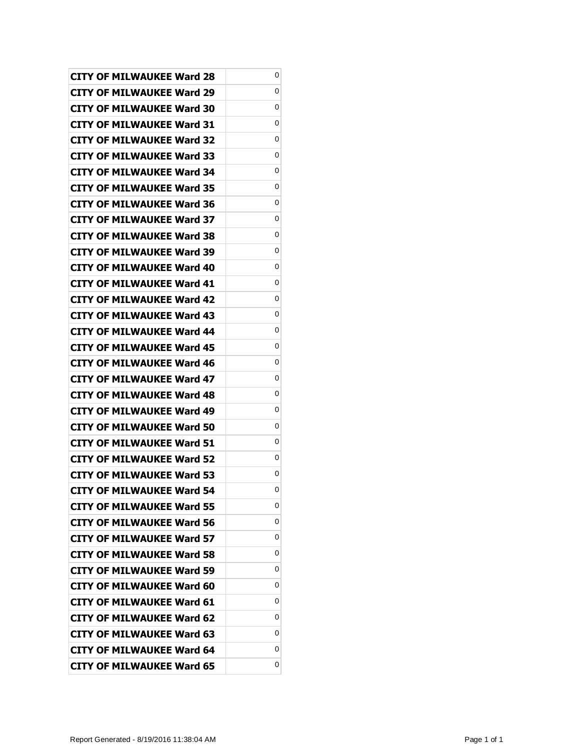| <b>CITY OF MILWAUKEE Ward 28</b> | 0 |
|----------------------------------|---|
| CITY OF MILWAUKEE Ward 29        | 0 |
| CITY OF MILWAUKEE Ward 30        | 0 |
| CITY OF MILWAUKEE Ward 31        | 0 |
| CITY OF MILWAUKEE Ward 32        | 0 |
| CITY OF MILWAUKEE Ward 33        | 0 |
| CITY OF MILWAUKEE Ward 34        | 0 |
| CITY OF MILWAUKEE Ward 35        | 0 |
| CITY OF MILWAUKEE Ward 36        | 0 |
| CITY OF MILWAUKEE Ward 37        | 0 |
| <b>CITY OF MILWAUKEE Ward 38</b> | 0 |
| CITY OF MILWAUKEE Ward 39        | 0 |
| CITY OF MILWAUKEE Ward 40        | 0 |
| CITY OF MILWAUKEE Ward 41        | 0 |
| <b>CITY OF MILWAUKEE Ward 42</b> | 0 |
| <b>CITY OF MILWAUKEE Ward 43</b> | 0 |
| CITY OF MILWAUKEE Ward 44        | 0 |
| CITY OF MILWAUKEE Ward 45        | 0 |
| CITY OF MILWAUKEE Ward 46        | 0 |
| CITY OF MILWAUKEE Ward 47        | 0 |
| <b>CITY OF MILWAUKEE Ward 48</b> | 0 |
| CITY OF MILWAUKEE Ward 49        | 0 |
| CITY OF MILWAUKEE Ward 50        | 0 |
| CITY OF MILWAUKEE Ward 51        | 0 |
| <b>CITY OF MILWAUKEE Ward 52</b> | 0 |
| <b>CITY OF MILWAUKEE Ward 53</b> | 0 |
| <b>CITY OF MILWAUKEE Ward 54</b> | 0 |
| <b>CITY OF MILWAUKEE Ward 55</b> | 0 |
| <b>CITY OF MILWAUKEE Ward 56</b> | 0 |
| <b>CITY OF MILWAUKEE Ward 57</b> | 0 |
| <b>CITY OF MILWAUKEE Ward 58</b> | 0 |
| <b>CITY OF MILWAUKEE Ward 59</b> | 0 |
| CITY OF MILWAUKEE Ward 60        | 0 |
| <b>CITY OF MILWAUKEE Ward 61</b> | 0 |
| <b>CITY OF MILWAUKEE Ward 62</b> | 0 |
| <b>CITY OF MILWAUKEE Ward 63</b> | 0 |
| <b>CITY OF MILWAUKEE Ward 64</b> | 0 |
| <b>CITY OF MILWAUKEE Ward 65</b> | 0 |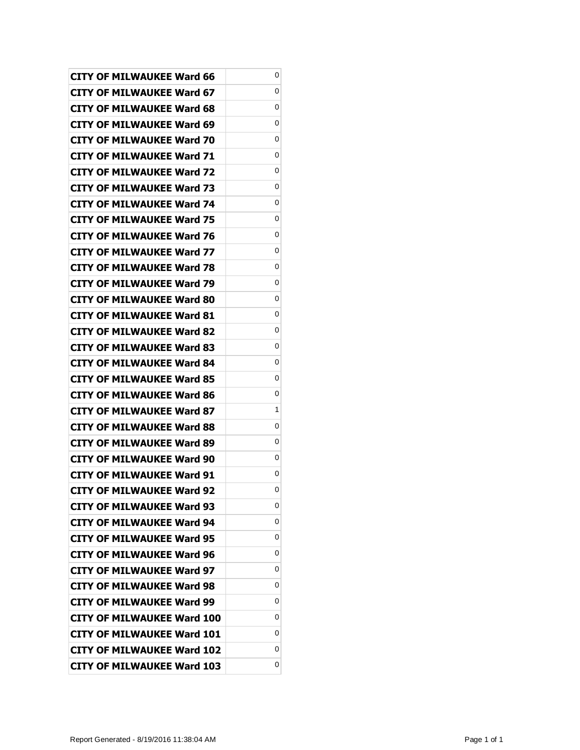| CITY OF MILWAUKEE Ward 66         | 0 |
|-----------------------------------|---|
| <b>CITY OF MILWAUKEE Ward 67</b>  | 0 |
| <b>CITY OF MILWAUKEE Ward 68</b>  | 0 |
| <b>CITY OF MILWAUKEE Ward 69</b>  | 0 |
| <b>CITY OF MILWAUKEE Ward 70</b>  | 0 |
| <b>CITY OF MILWAUKEE Ward 71</b>  | 0 |
| <b>CITY OF MILWAUKEE Ward 72</b>  | 0 |
| <b>CITY OF MILWAUKEE Ward 73</b>  | 0 |
| CITY OF MILWAUKEE Ward 74         | 0 |
| <b>CITY OF MILWAUKEE Ward 75</b>  | 0 |
| CITY OF MILWAUKEE Ward 76         | 0 |
| <b>CITY OF MILWAUKEE Ward 77</b>  | 0 |
| <b>CITY OF MILWAUKEE Ward 78</b>  | 0 |
| CITY OF MILWAUKEE Ward 79         | 0 |
| <b>CITY OF MILWAUKEE Ward 80</b>  | 0 |
| CITY OF MILWAUKEE Ward 81         | 0 |
| <b>CITY OF MILWAUKEE Ward 82</b>  | 0 |
| <b>CITY OF MILWAUKEE Ward 83</b>  | 0 |
| <b>CITY OF MILWAUKEE Ward 84</b>  | 0 |
| <b>CITY OF MILWAUKEE Ward 85</b>  | 0 |
| <b>CITY OF MILWAUKEE Ward 86</b>  | 0 |
| <b>CITY OF MILWAUKEE Ward 87</b>  | 1 |
| CITY OF MILWAUKEE Ward 88         | 0 |
| CITY OF MILWAUKEE Ward 89         | 0 |
| CITY OF MILWAUKEE Ward 90         | 0 |
| <b>CITY OF MILWAUKEE Ward 91</b>  | 0 |
| <b>CITY OF MILWAUKEE Ward 92</b>  | 0 |
| <b>CITY OF MILWAUKEE Ward 93</b>  | 0 |
| <b>CITY OF MILWAUKEE Ward 94</b>  | 0 |
| <b>CITY OF MILWAUKEE Ward 95</b>  | 0 |
| <b>CITY OF MILWAUKEE Ward 96</b>  | 0 |
| <b>CITY OF MILWAUKEE Ward 97</b>  | 0 |
| <b>CITY OF MILWAUKEE Ward 98</b>  | 0 |
| <b>CITY OF MILWAUKEE Ward 99</b>  | 0 |
| <b>CITY OF MILWAUKEE Ward 100</b> | 0 |
| <b>CITY OF MILWAUKEE Ward 101</b> | 0 |
| <b>CITY OF MILWAUKEE Ward 102</b> | 0 |
| <b>CITY OF MILWAUKEE Ward 103</b> | 0 |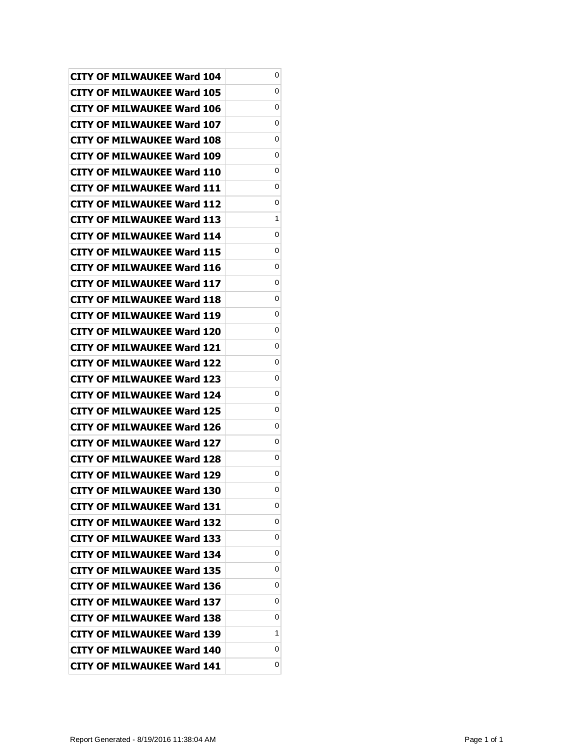| <b>CITY OF MILWAUKEE Ward 104</b> | 0 |
|-----------------------------------|---|
| CITY OF MILWAUKEE Ward 105        | 0 |
| <b>CITY OF MILWAUKEE Ward 106</b> | 0 |
| <b>CITY OF MILWAUKEE Ward 107</b> | 0 |
| <b>CITY OF MILWAUKEE Ward 108</b> | 0 |
| CITY OF MILWAUKEE Ward 109        | 0 |
| CITY OF MILWAUKEE Ward 110        | 0 |
| <b>CITY OF MILWAUKEE Ward 111</b> | 0 |
| CITY OF MILWAUKEE Ward 112        | 0 |
| CITY OF MILWAUKEE Ward 113        | 1 |
| <b>CITY OF MILWAUKEE Ward 114</b> | 0 |
| CITY OF MILWAUKEE Ward 115        | 0 |
| <b>CITY OF MILWAUKEE Ward 116</b> | 0 |
| CITY OF MILWAUKEE Ward 117        | 0 |
| <b>CITY OF MILWAUKEE Ward 118</b> | 0 |
| CITY OF MILWAUKEE Ward 119        | 0 |
| CITY OF MILWAUKEE Ward 120        | 0 |
| CITY OF MILWAUKEE Ward 121        | 0 |
| <b>CITY OF MILWAUKEE Ward 122</b> | 0 |
| CITY OF MILWAUKEE Ward 123        | 0 |
| <b>CITY OF MILWAUKEE Ward 124</b> | 0 |
| CITY OF MILWAUKEE Ward 125        | 0 |
| CITY OF MILWAUKEE Ward 126        | 0 |
| CITY OF MILWAUKEE Ward 127        | 0 |
| CITY OF MILWAUKEE Ward 128        | 0 |
| <b>CITY OF MILWAUKEE Ward 129</b> | 0 |
| <b>CITY OF MILWAUKEE Ward 130</b> | 0 |
| <b>CITY OF MILWAUKEE Ward 131</b> | 0 |
| <b>CITY OF MILWAUKEE Ward 132</b> | 0 |
| <b>CITY OF MILWAUKEE Ward 133</b> | 0 |
| <b>CITY OF MILWAUKEE Ward 134</b> | 0 |
| <b>CITY OF MILWAUKEE Ward 135</b> | 0 |
| <b>CITY OF MILWAUKEE Ward 136</b> | 0 |
| <b>CITY OF MILWAUKEE Ward 137</b> | 0 |
| <b>CITY OF MILWAUKEE Ward 138</b> | 0 |
| <b>CITY OF MILWAUKEE Ward 139</b> | 1 |
| <b>CITY OF MILWAUKEE Ward 140</b> | 0 |
| <b>CITY OF MILWAUKEE Ward 141</b> | 0 |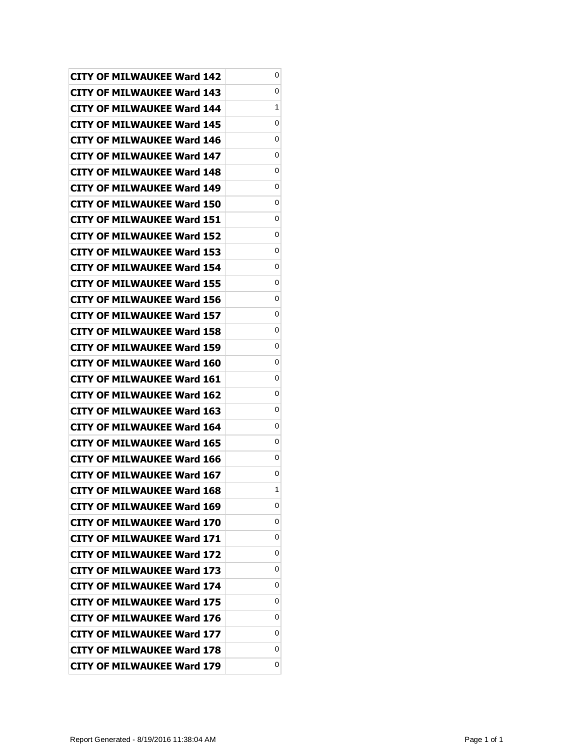| <b>CITY OF MILWAUKEE Ward 142</b> | 0 |
|-----------------------------------|---|
| CITY OF MILWAUKEE Ward 143        | 0 |
| <b>CITY OF MILWAUKEE Ward 144</b> | 1 |
| <b>CITY OF MILWAUKEE Ward 145</b> | 0 |
| <b>CITY OF MILWAUKEE Ward 146</b> | 0 |
| CITY OF MILWAUKEE Ward 147        | 0 |
| CITY OF MILWAUKEE Ward 148        | 0 |
| <b>CITY OF MILWAUKEE Ward 149</b> | 0 |
| CITY OF MILWAUKEE Ward 150        | 0 |
| CITY OF MILWAUKEE Ward 151        | 0 |
| <b>CITY OF MILWAUKEE Ward 152</b> | 0 |
| CITY OF MILWAUKEE Ward 153        | 0 |
| <b>CITY OF MILWAUKEE Ward 154</b> | 0 |
| <b>CITY OF MILWAUKEE Ward 155</b> | 0 |
| <b>CITY OF MILWAUKEE Ward 156</b> | 0 |
| CITY OF MILWAUKEE Ward 157        | 0 |
| CITY OF MILWAUKEE Ward 158        | 0 |
| CITY OF MILWAUKEE Ward 159        | 0 |
| CITY OF MILWAUKEE Ward 160        | 0 |
| CITY OF MILWAUKEE Ward 161        | 0 |
| <b>CITY OF MILWAUKEE Ward 162</b> | 0 |
| CITY OF MILWAUKEE Ward 163        | 0 |
| CITY OF MILWAUKEE Ward 164        | 0 |
| CITY OF MILWAUKEE Ward 165        | 0 |
| CITY OF MILWAUKEE Ward 166        | 0 |
| <b>CITY OF MILWAUKEE Ward 167</b> | 0 |
| <b>CITY OF MILWAUKEE Ward 168</b> | 1 |
| <b>CITY OF MILWAUKEE Ward 169</b> | 0 |
| CITY OF MILWAUKEE Ward 170        | 0 |
| <b>CITY OF MILWAUKEE Ward 171</b> | 0 |
| <b>CITY OF MILWAUKEE Ward 172</b> | 0 |
| <b>CITY OF MILWAUKEE Ward 173</b> | 0 |
| <b>CITY OF MILWAUKEE Ward 174</b> | 0 |
| <b>CITY OF MILWAUKEE Ward 175</b> | 0 |
| <b>CITY OF MILWAUKEE Ward 176</b> | 0 |
| <b>CITY OF MILWAUKEE Ward 177</b> | 0 |
| <b>CITY OF MILWAUKEE Ward 178</b> | 0 |
| <b>CITY OF MILWAUKEE Ward 179</b> | 0 |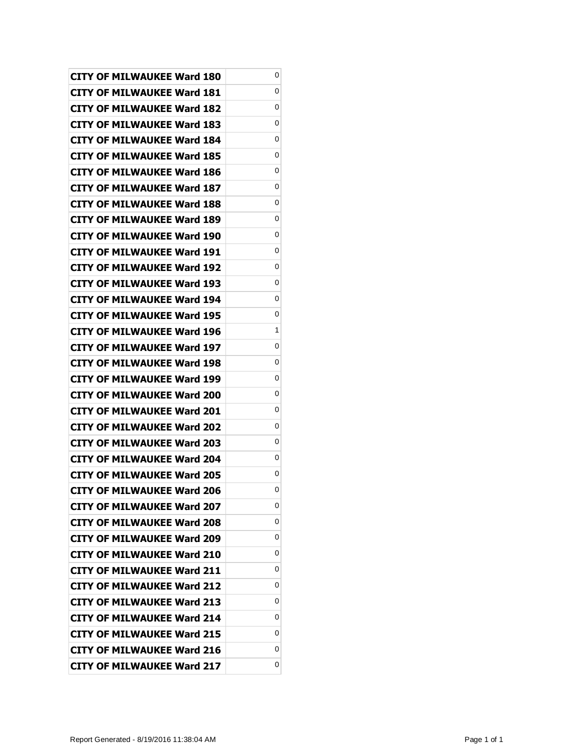| <b>CITY OF MILWAUKEE Ward 180</b> | 0 |
|-----------------------------------|---|
| CITY OF MILWAUKEE Ward 181        | 0 |
| <b>CITY OF MILWAUKEE Ward 182</b> | 0 |
| <b>CITY OF MILWAUKEE Ward 183</b> | 0 |
| <b>CITY OF MILWAUKEE Ward 184</b> | 0 |
| CITY OF MILWAUKEE Ward 185        | 0 |
| CITY OF MILWAUKEE Ward 186        | 0 |
| <b>CITY OF MILWAUKEE Ward 187</b> | 0 |
| <b>CITY OF MILWAUKEE Ward 188</b> | 0 |
| CITY OF MILWAUKEE Ward 189        | 0 |
| <b>CITY OF MILWAUKEE Ward 190</b> | 0 |
| CITY OF MILWAUKEE Ward 191        | 0 |
| <b>CITY OF MILWAUKEE Ward 192</b> | 0 |
| <b>CITY OF MILWAUKEE Ward 193</b> | 0 |
| <b>CITY OF MILWAUKEE Ward 194</b> | 0 |
| CITY OF MILWAUKEE Ward 195        | 0 |
| CITY OF MILWAUKEE Ward 196        | 1 |
| <b>CITY OF MILWAUKEE Ward 197</b> | 0 |
| <b>CITY OF MILWAUKEE Ward 198</b> | 0 |
| CITY OF MILWAUKEE Ward 199        | 0 |
| <b>CITY OF MILWAUKEE Ward 200</b> | 0 |
| CITY OF MILWAUKEE Ward 201        | 0 |
| CITY OF MILWAUKEE Ward 202        | 0 |
| CITY OF MILWAUKEE Ward 203        | 0 |
| CITY OF MILWAUKEE Ward 204        | 0 |
| <b>CITY OF MILWAUKEE Ward 205</b> | 0 |
| <b>CITY OF MILWAUKEE Ward 206</b> | 0 |
| <b>CITY OF MILWAUKEE Ward 207</b> | 0 |
| <b>CITY OF MILWAUKEE Ward 208</b> | 0 |
| <b>CITY OF MILWAUKEE Ward 209</b> | 0 |
| <b>CITY OF MILWAUKEE Ward 210</b> | 0 |
| <b>CITY OF MILWAUKEE Ward 211</b> | 0 |
| <b>CITY OF MILWAUKEE Ward 212</b> | 0 |
| <b>CITY OF MILWAUKEE Ward 213</b> | 0 |
| <b>CITY OF MILWAUKEE Ward 214</b> | 0 |
| <b>CITY OF MILWAUKEE Ward 215</b> | 0 |
| <b>CITY OF MILWAUKEE Ward 216</b> | 0 |
| <b>CITY OF MILWAUKEE Ward 217</b> | 0 |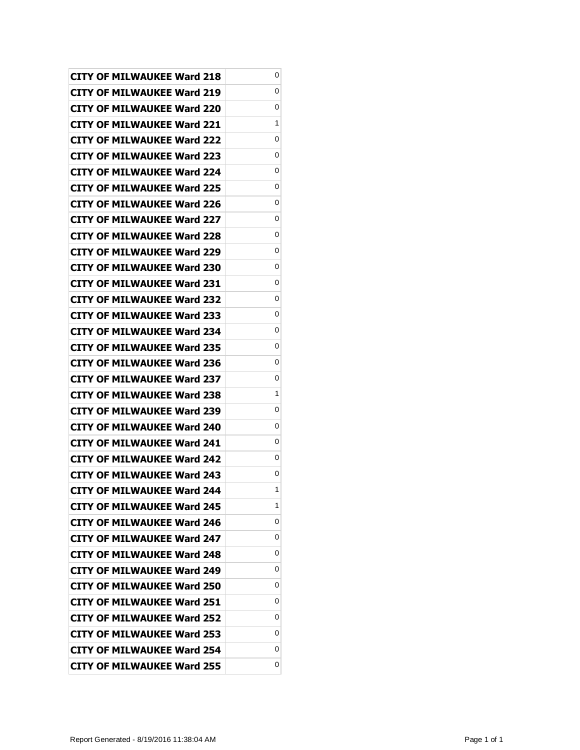| <b>CITY OF MILWAUKEE Ward 218</b> | 0 |
|-----------------------------------|---|
| CITY OF MILWAUKEE Ward 219        | 0 |
| <b>CITY OF MILWAUKEE Ward 220</b> | 0 |
| <b>CITY OF MILWAUKEE Ward 221</b> | 1 |
| <b>CITY OF MILWAUKEE Ward 222</b> | 0 |
| CITY OF MILWAUKEE Ward 223        | 0 |
| CITY OF MILWAUKEE Ward 224        | 0 |
| <b>CITY OF MILWAUKEE Ward 225</b> | 0 |
| <b>CITY OF MILWAUKEE Ward 226</b> | 0 |
| CITY OF MILWAUKEE Ward 227        | 0 |
| <b>CITY OF MILWAUKEE Ward 228</b> | 0 |
| CITY OF MILWAUKEE Ward 229        | 0 |
| <b>CITY OF MILWAUKEE Ward 230</b> | 0 |
| <b>CITY OF MILWAUKEE Ward 231</b> | 0 |
| CITY OF MILWAUKEE Ward 232        | 0 |
| CITY OF MILWAUKEE Ward 233        | 0 |
| CITY OF MILWAUKEE Ward 234        | 0 |
| <b>CITY OF MILWAUKEE Ward 235</b> | 0 |
| <b>CITY OF MILWAUKEE Ward 236</b> | 0 |
| CITY OF MILWAUKEE Ward 237        | 0 |
| <b>CITY OF MILWAUKEE Ward 238</b> | 1 |
| CITY OF MILWAUKEE Ward 239        | 0 |
| CITY OF MILWAUKEE Ward 240        | 0 |
| CITY OF MILWAUKEE Ward 241        | 0 |
| CITY OF MILWAUKEE Ward 242        | 0 |
| <b>CITY OF MILWAUKEE Ward 243</b> | 0 |
| <b>CITY OF MILWAUKEE Ward 244</b> | 1 |
| <b>CITY OF MILWAUKEE Ward 245</b> | 1 |
| CITY OF MILWAUKEE Ward 246        | 0 |
| <b>CITY OF MILWAUKEE Ward 247</b> | 0 |
| <b>CITY OF MILWAUKEE Ward 248</b> | 0 |
| <b>CITY OF MILWAUKEE Ward 249</b> | 0 |
| <b>CITY OF MILWAUKEE Ward 250</b> | 0 |
| CITY OF MILWAUKEE Ward 251        | 0 |
| <b>CITY OF MILWAUKEE Ward 252</b> | 0 |
| <b>CITY OF MILWAUKEE Ward 253</b> | 0 |
| <b>CITY OF MILWAUKEE Ward 254</b> | 0 |
| <b>CITY OF MILWAUKEE Ward 255</b> | 0 |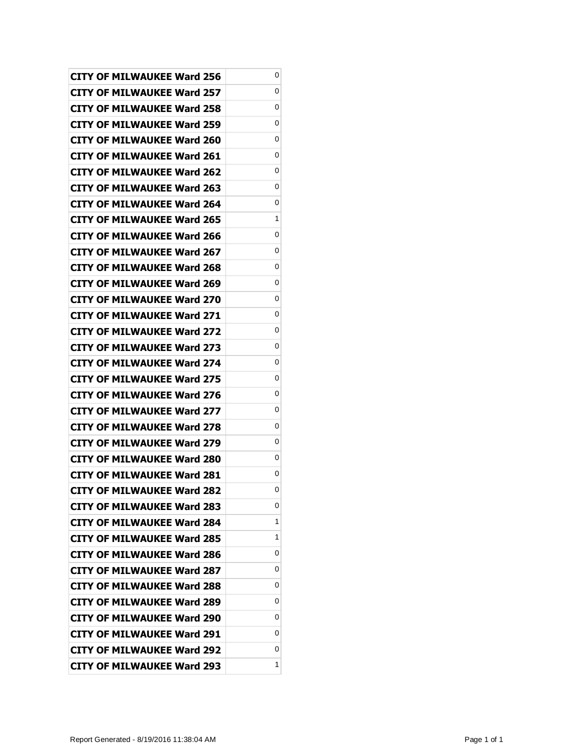| <b>CITY OF MILWAUKEE Ward 256</b> | 0 |
|-----------------------------------|---|
| CITY OF MILWAUKEE Ward 257        | 0 |
| CITY OF MILWAUKEE Ward 258        | 0 |
| <b>CITY OF MILWAUKEE Ward 259</b> | 0 |
| <b>CITY OF MILWAUKEE Ward 260</b> | 0 |
| <b>CITY OF MILWAUKEE Ward 261</b> | 0 |
| CITY OF MILWAUKEE Ward 262        | 0 |
| CITY OF MILWAUKEE Ward 263        | 0 |
| <b>CITY OF MILWAUKEE Ward 264</b> | 0 |
| <b>CITY OF MILWAUKEE Ward 265</b> | 1 |
| CITY OF MILWAUKEE Ward 266        | 0 |
| CITY OF MILWAUKEE Ward 267        | 0 |
| <b>CITY OF MILWAUKEE Ward 268</b> | 0 |
| <b>CITY OF MILWAUKEE Ward 269</b> | 0 |
| <b>CITY OF MILWAUKEE Ward 270</b> | 0 |
| <b>CITY OF MILWAUKEE Ward 271</b> | 0 |
| <b>CITY OF MILWAUKEE Ward 272</b> | 0 |
| <b>CITY OF MILWAUKEE Ward 273</b> | 0 |
| <b>CITY OF MILWAUKEE Ward 274</b> | 0 |
| <b>CITY OF MILWAUKEE Ward 275</b> | 0 |
| <b>CITY OF MILWAUKEE Ward 276</b> | 0 |
| <b>CITY OF MILWAUKEE Ward 277</b> | 0 |
| <b>CITY OF MILWAUKEE Ward 278</b> | 0 |
| CITY OF MILWAUKEE Ward 279        | 0 |
| <b>CITY OF MILWAUKEE Ward 280</b> | 0 |
| <b>CITY OF MILWAUKEE Ward 281</b> | 0 |
| <b>CITY OF MILWAUKEE Ward 282</b> | 0 |
| <b>CITY OF MILWAUKEE Ward 283</b> | 0 |
| <b>CITY OF MILWAUKEE Ward 284</b> | 1 |
| <b>CITY OF MILWAUKEE Ward 285</b> | 1 |
| CITY OF MILWAUKEE Ward 286        | 0 |
| <b>CITY OF MILWAUKEE Ward 287</b> | 0 |
| <b>CITY OF MILWAUKEE Ward 288</b> | 0 |
| CITY OF MILWAUKEE Ward 289        | 0 |
| CITY OF MILWAUKEE Ward 290        | 0 |
| <b>CITY OF MILWAUKEE Ward 291</b> | 0 |
| <b>CITY OF MILWAUKEE Ward 292</b> | 0 |
| <b>CITY OF MILWAUKEE Ward 293</b> | 1 |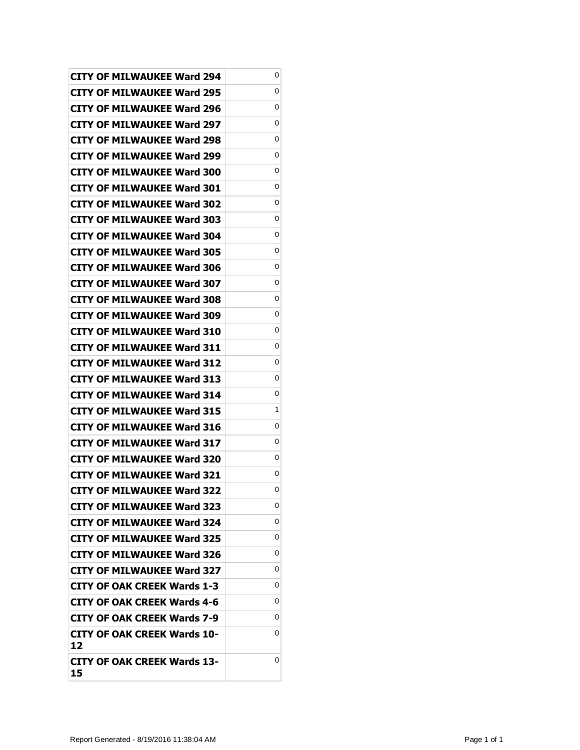|                                          | 0 |
|------------------------------------------|---|
| <b>CITY OF MILWAUKEE Ward 294</b>        | 0 |
| <b>CITY OF MILWAUKEE Ward 295</b>        |   |
| <b>CITY OF MILWAUKEE Ward 296</b>        | 0 |
| <b>CITY OF MILWAUKEE Ward 297</b>        | 0 |
| <b>CITY OF MILWAUKEE Ward 298</b>        | 0 |
| CITY OF MILWAUKEE Ward 299               | 0 |
| <b>CITY OF MILWAUKEE Ward 300</b>        | 0 |
| <b>CITY OF MILWAUKEE Ward 301</b>        | 0 |
| <b>CITY OF MILWAUKEE Ward 302</b>        | 0 |
| <b>CITY OF MILWAUKEE Ward 303</b>        | 0 |
| <b>CITY OF MILWAUKEE Ward 304</b>        | 0 |
| <b>CITY OF MILWAUKEE Ward 305</b>        | 0 |
| <b>CITY OF MILWAUKEE Ward 306</b>        | 0 |
| <b>CITY OF MILWAUKEE Ward 307</b>        | 0 |
| <b>CITY OF MILWAUKEE Ward 308</b>        | 0 |
| <b>CITY OF MILWAUKEE Ward 309</b>        | 0 |
| <b>CITY OF MILWAUKEE Ward 310</b>        | 0 |
| <b>CITY OF MILWAUKEE Ward 311</b>        | 0 |
| <b>CITY OF MILWAUKEE Ward 312</b>        | 0 |
| <b>CITY OF MILWAUKEE Ward 313</b>        | 0 |
| <b>CITY OF MILWAUKEE Ward 314</b>        | 0 |
| <b>CITY OF MILWAUKEE Ward 315</b>        | 1 |
| CITY OF MILWAUKEE Ward 316               | 0 |
| <b>CITY OF MILWAUKEE Ward 317</b>        | 0 |
| <b>CITY OF MILWAUKEE Ward 320</b>        | 0 |
| <b>CITY OF MILWAUKEE Ward 321</b>        | 0 |
| <b>CITY OF MILWAUKEE Ward 322</b>        | 0 |
| <b>CITY OF MILWAUKEE Ward 323</b>        | 0 |
| <b>CITY OF MILWAUKEE Ward 324</b>        | 0 |
| <b>CITY OF MILWAUKEE Ward 325</b>        | 0 |
| <b>CITY OF MILWAUKEE Ward 326</b>        | 0 |
| <b>CITY OF MILWAUKEE Ward 327</b>        | 0 |
| <b>CITY OF OAK CREEK Wards 1-3</b>       | 0 |
| <b>CITY OF OAK CREEK Wards 4-6</b>       | 0 |
| <b>CITY OF OAK CREEK Wards 7-9</b>       | 0 |
| <b>CITY OF OAK CREEK Wards 10-</b><br>12 | 0 |
| CITY OF OAK CREEK Wards 13-              | 0 |
| 15                                       |   |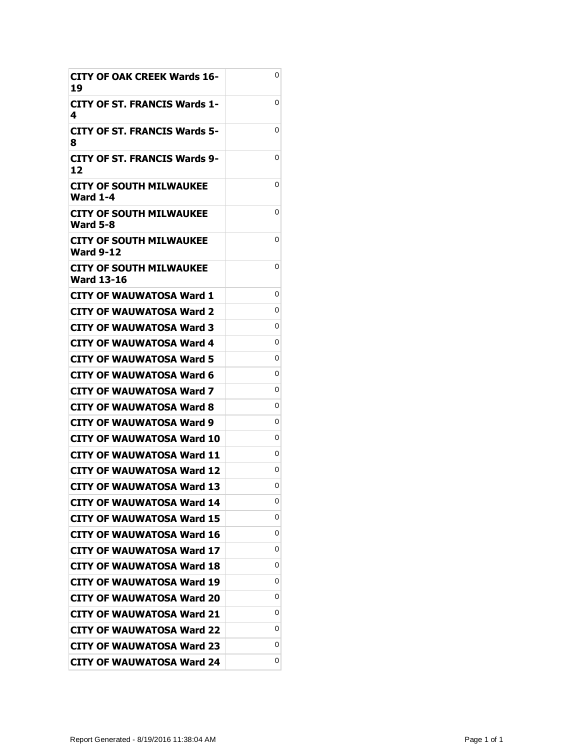| <b>CITY OF OAK CREEK Wards 16-</b><br>19    | 0 |
|---------------------------------------------|---|
| CITY OF ST. FRANCIS Wards 1-<br>4           | 0 |
| <b>CITY OF ST. FRANCIS Wards 5-</b><br>8    | 0 |
| CITY OF ST. FRANCIS Wards 9-<br>12          | 0 |
| CITY OF SOUTH MILWAUKEE<br>Ward 1-4         | 0 |
| CITY OF SOUTH MILWAUKEE<br><b>Ward 5-8</b>  | 0 |
| CITY OF SOUTH MILWAUKEE<br><b>Ward 9-12</b> | 0 |
| CITY OF SOUTH MILWAUKEE<br>Ward 13-16       | 0 |
| <b>CITY OF WAUWATOSA Ward 1</b>             | 0 |
| CITY OF WAUWATOSA Ward 2                    | 0 |
| CITY OF WAUWATOSA Ward 3                    | 0 |
| CITY OF WAUWATOSA Ward 4                    | 0 |
| CITY OF WAUWATOSA Ward 5                    | 0 |
| <b>CITY OF WAUWATOSA Ward 6</b>             | 0 |
| CITY OF WAUWATOSA Ward 7                    | 0 |
| CITY OF WAUWATOSA Ward 8                    | 0 |
| CITY OF WAUWATOSA Ward 9                    | 0 |
| CITY OF WAUWATOSA Ward 10                   | 0 |
| <b>CITY OF WAUWATOSA Ward 11</b>            | 0 |
| CITY OF WAUWATOSA Ward 12                   | 0 |
| <b>CITY OF WAUWATOSA Ward 13</b>            | 0 |
| <b>CITY OF WAUWATOSA Ward 14</b>            | 0 |
| <b>CITY OF WAUWATOSA Ward 15</b>            | 0 |
| <b>CITY OF WAUWATOSA Ward 16</b>            | 0 |
| <b>CITY OF WAUWATOSA Ward 17</b>            | 0 |
| CITY OF WAUWATOSA Ward 18                   | 0 |
| CITY OF WAUWATOSA Ward 19                   | 0 |
| <b>CITY OF WAUWATOSA Ward 20</b>            | 0 |
| <b>CITY OF WAUWATOSA Ward 21</b>            | 0 |
| <b>CITY OF WAUWATOSA Ward 22</b>            | 0 |
| CITY OF WAUWATOSA Ward 23                   | 0 |
| CITY OF WAUWATOSA Ward 24                   | 0 |